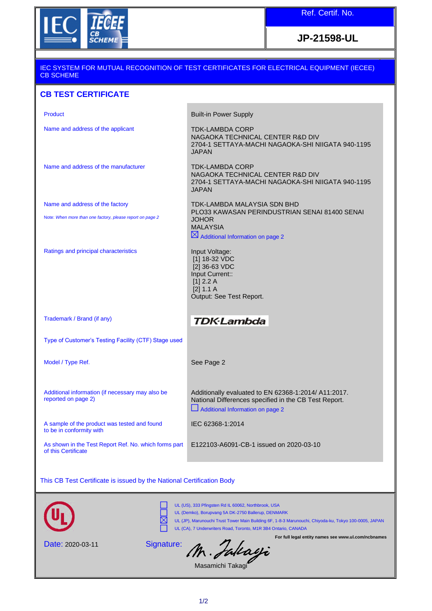

**JP-21598-UL**

## IEC SYSTEM FOR MUTUAL RECOGNITION OF TEST CERTIFICATES FOR ELECTRICAL EQUIPMENT (IECEE) CB SCHEME

## **CB TEST CERTIFICATE**

| <b>Product</b>                                                               | <b>Built-in Power Supply</b>                                                                                                                      |
|------------------------------------------------------------------------------|---------------------------------------------------------------------------------------------------------------------------------------------------|
| Name and address of the applicant                                            | <b>TDK-LAMBDA CORP</b><br>NAGAOKA TECHNICAL CENTER R&D DIV<br>2704-1 SETTAYA-MACHI NAGAOKA-SHI NIIGATA 940-1195<br><b>JAPAN</b>                   |
| Name and address of the manufacturer                                         | <b>TDK-LAMBDA CORP</b><br>NAGAOKA TECHNICAL CENTER R&D DIV<br>2704-1 SETTAYA-MACHI NAGAOKA-SHI NIIGATA 940-1195<br><b>JAPAN</b>                   |
| Name and address of the factory                                              | TDK-LAMBDA MALAYSIA SDN BHD<br>PLO33 KAWASAN PERINDUSTRIAN SENAI 81400 SENAI                                                                      |
| Note: When more than one factory, please report on page 2                    | <b>JOHOR</b><br><b>MALAYSIA</b><br>$\boxtimes$ Additional Information on page 2                                                                   |
| Ratings and principal characteristics                                        | Input Voltage:<br>[1] 18-32 VDC<br>[2] 36-63 VDC<br>Input Current::<br>$[1]$ 2.2 A<br>[2] 1.1 A<br>Output: See Test Report.                       |
| Trademark / Brand (if any)                                                   | <b>TDK-Lambda</b>                                                                                                                                 |
| Type of Customer's Testing Facility (CTF) Stage used                         |                                                                                                                                                   |
| Model / Type Ref.                                                            | See Page 2                                                                                                                                        |
| Additional information (if necessary may also be<br>reported on page 2)      | Additionally evaluated to EN 62368-1:2014/ A11:2017.<br>National Differences specified in the CB Test Report.<br>Additional Information on page 2 |
| A sample of the product was tested and found<br>to be in conformity with     | IEC 62368-1:2014                                                                                                                                  |
| As shown in the Test Report Ref. No. which forms part<br>of this Certificate | E122103-A6091-CB-1 issued on 2020-03-10                                                                                                           |

This CB Test Certificate is issued by the National Certification Body